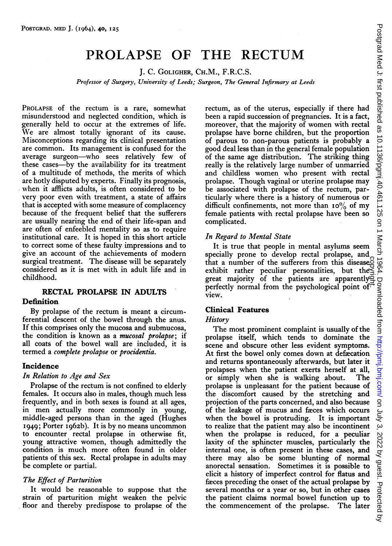# PROLAPSE OF THE RECTUM

J. C. GOLIGHER, CH.M., F.R.C.S.

Professor of Surgery, University of Leeds; Surgeon, The General Infirmary at Leeds

PROLAPSE of the rectum is a rare, somewhat misunderstood and neglected condition, which is generally held to occur at the extremes of life. XVe are almost totally ignorant of its cause. Misconceptions regarding its clinical presentation are common. Its management is confused for the average surgeon-who sees relatively few of these cases-by the availability for its treatment of a multitude of methods, the merits of which are hotly disputed by experts. Finally its prognosis, when it afflicts adults, is often considered to be very poor even with treatment, a state of affairs that is accepted with some measure of complacency because of the frequent belief that the sufferers are usually nearing the end of their life-span and are often of enfeebled mentality so as to require institutional care. It is hoped in this short article to correct some of these faulty impressions and to give an account of the achievements of modern surgical treatment. The disease will be separately considered as it is met with in adult life and in childhood.

#### RECTAL PROLAPSE IN ADULTS Definition

By prolapse of the rectum is meant a circumferential descent of the bowel through the anus. If this comprises only the mucosa and submucosa, the condition is known as a *mucosal prolapse*; if all coats of the bowel wall are included, it is termed a *complete prolapse* or *procidentia*.

## Incidence

## In Relation to Age and Sex

Prolapse of the rectum is not confined to elderly females. It occurs also in males, though much less frequently, and in both sexes is found at all ages, in men actually more commonly in young, middle-aged persons than in the aged (Hughes 1949; Porter i962b). It is by no means uncommon to encounter rectal prolapse in otherwise fit, young attractive women, though admittedly the condition is much more often found in older patients of this sex. Rectal prolapse in adults may be complete or partial.

## The Effect of Parturition

It would be reasonable to suppose that the strain of parturition might weaken the pelvic floor and therebv predispose to prolapse of the rectum, as of the uterus, especially if there had been a rapid succession of pregnancies. It is a fact, moreover, that the majority of women with rectal prolapse have borne children, but the proportion of parous to non-parous patients is probably a good deal less than in the general female population of the same age distribution. The striking thing really is the relatively large number of unmarried and childless women who present with rectal prolapse. Though vaginal or uterine prolapse may be associated with prolapse of the rectum, particularly where there is a history of numerous or difficult confinements, not more than  $10\%$  of my female patients with rectal prolapse have been so complicated.

# In Regard to Mental State

It is true that people in mental asylums seem specially prone to develop rectal prolapse, and that <sup>a</sup> number of the sufferers from this disease exhibit rather peculiar personalities, but the great majority of the patients are apparently perfectly normal from the psychological point of view.

## Clinical Features

#### **History**

The most prominent complaint is usually of the prolapse itself, which tends to dominate the scene and obscure other less evident symptoms. At first the bowel only comes down at defacation and returns spontaneously afterwards, but later it prolapses when the patient exerts herself at all,<br>or simply when she is walking about. The or simply when she is walking about. prolapse is unpleasant for the patient because of the discomfort caused by the stretching and projection of the parts concerned, and also because of the leakage of mucus and facces which occurs when the bowel is protruding. It is important to realize that the patient may also be incontinent when the prolapse is reduced, for a peculiar laxity of the sphincter muscles, particularly the internal one, is often present in these cases, and there may also be some blunting of normal anorectal sensation. Sometimes it is possible to elicit a history of imperfect control for flatus and faeces preceding the onset of the actual prolapse by several months or a year or so, but in other cases the patient claims normal bowel function up to<br>the commencement of the prolapse. The later that a number of the sufferers from this disease<br>
exhibit rather peculiar personalities, but the exergent majority of the patients are apparently<br>
greeftectly normal from the psychological point of<br>
view.<br> **Clinical Featu**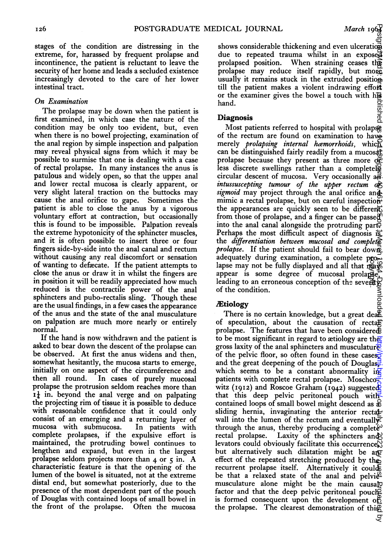stages of the condition are distressing in the extreme, for, harassed by frequent prolapse and incontinence, the patient is reluctant to leave the security of her home and leads a secluded existence increasingly devoted to the care of her lower intestinal tract.

#### On Examination

The prolapse may be down when the patient is first examined, in which case the nature of the condition may be only too evident, but, even when there is no bowel projecting, examination of the anal region by simple inspection and palpation may reveal physical signs from which it may be possible to surmise that one is dealing with a case of rectal prolapse. In many instances the anus is patulous and widely open, so that the uppei anal and lower rectal mucosa is clearly apparent, or very slight lateral traction on the buttocks may cause the anal orifice to gape. Sometimes the patient is able to close the anus by a vigorous voluntary effort at contraction, but occasionally this is found to be impossible. Palpation reveals the extreme hypotonicity of the sphincter muscles, and it is often possible to insert three or four fingers side-by-side into the anal canal and rectum without causing any real discomfort or sensation of wanting to deftecate. If the patient attempts to close the anus or draw it in whilst the fingers are in position it will be readily appreciated how much reduced is the contractile power of the anal sphincters and pubo-rectalis sling. Though these are the usual findings, in a few cases the appearance of the anus and the state of the anal musculature on palpation are much more nearly or entirely normal.

If the hand is now withdrawn and the patient is asked to bear down the descent of the prolapse can be observed. At first the anus widens and then, somewhat hesitantly, the mucosa starts to emerge, initially on one aspect of the circumference and<br>then all round. In cases of purely mucosal In cases of purely mucosal prolapse the protrusion seldom reaches more than  $I_{\tau}$  in. beyond the anal verge and on palpating the projecting rim of tissue it is possible to deduce with reasonable confidence that it could only consist of an emerging and a returning layer of mucosa with submucosa. complete prolapses, if the expulsive effort is maintained, the protruding bowel continues to lengthen and expand, but even in the largest prolapse seldom projects more than <sup>4</sup> or <sup>5</sup> in. A characteristic feature is that the opening of the lumen of the bowel is situated, not at the extreme distal end, but somewhat posteriorly, due to the presence of the most dependent part of the pouch of Douglas with contained loops of small bowel in the front of the prolapse. Often the mucosa

shows considerable thickening and even ulceration due to repeated trauma whilst in an exposed prolapsed position. When straining ceases the prolapse may reduce itself rapidly, but more usually it remains stuck in the extruded position. till the patient makes a violent indrawing effort or the examiner gives the bowel a touch with his hand.

#### Diagnosis

Most patients referred to hospital with prolaps of the rectum are found on examination to have merely *prolapsing internal hæmorrhoids*, which can be distinguished fairly readily from a mucosal prolapse because they present as three more or less discrete swellings rather than a completel circular descent of mucosa. Very occasionally  $a\vec{r}$ . intussuscepting tumour of the upper rectum  $\sigma \xi$ sigmoid may project through the anal orifice and mimic a rectal prolapse, but on careful inspection the appearances are quickly seen to be different from those of prolapse, and a finger can be passed into the anal canal alongside the protruding part? Perhaps the most difficult aspect of diagnosis is the differentiation between mucosal and complete *prolapse*. If the patient should fail to bear down adequately during examination, a complete prolapse may not be fully displayed and all that may appear is some degree of mucosal prolapse, leading to an erroneous conception of the several of the condition.

## **Ætiology**

There is no certain knowledge, but a great deal of speculation, about the causation of rectal prolapse. The features that have been considered to be most significant in regard to actiology are they gross laxity of the anal sphincters and musculature. of the pelvic floor, so often found in these cases and the great deepening of the pouch of Douglaswhich seems to be a constant abnormality  $\overrightarrow{R}$ patients with complete rectal prolapse. Moschco $\equiv$ witz (1912) and Roscoe Graham (1942) suggested that this deep pelvic peritoneal pouch with contained loops of small bowel might descend as  $\frac{1}{2}$ sliding hernia, invaginating the anterior rectalwall into the lumen of the rectum and eventually through the anus, thereby producing a complete<sup> $\omega$ </sup> rectal prolapse. Laxity of the sphincters and levators could obviously facilitate this occurrence, but alternatively such dilatation might be any effect of the repeated stretching produced by the recurrent prolapse itself. Alternatively it could be that a relaxed state of the anal and pelvi $e^{\alpha}$ musculature alone might be the main causal factor and that the deep pelvic peritoneal pouched is formed consequent upon the development of<br>the prolapse. The clearest demonstration of this DICALJOURNAL March 1961<br>shows considered triatmar whilst in an explored prolapsed position. When straining ceases the<br>prolapsed prolapsed in the particular mark of the rest of the standard<br>in the particular team in the p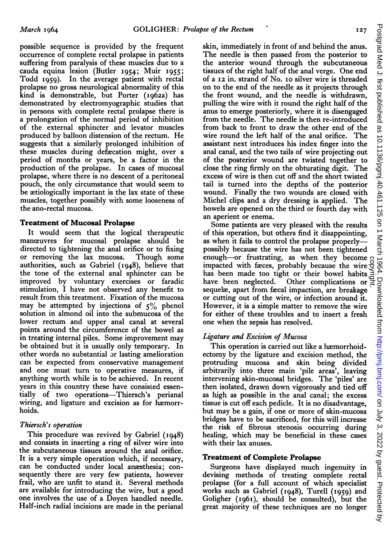possible sequence is provided by the frequent occurrence of complete rectal prolapse in patients suffering from paralysis of these muscles due to a cauda equina lesion (Butler I954; Muir 1955; Todd 1959). In the average patient with rectal prolapse no gross neurological abnormality of this kind is demonstrable, but Porter (i962a) has demonstrated by electromyographic studies that in persons with complete rectal prolapse there is a prolongation of the normal period of inhibition of the external sphincter and levator muscles produced by balloon distension of the rectum. He suggests that a similarly prolonged inhibition of these muscles during defacation might, over a period of months or years, be a factor in the production of the prolapse. In cases of mucosal prolapse, where there is no descent of a peritoneal pouch, the only circumstance that would seem to be atiologically important is the lax state of these muscles, together possibly with some looseness of the ano-rectal mucosa.

## Treatment of Mucosal Prolapse

It would seem that the logical therapeutic manceuvres for mucosal prolapse should be directed to tightening the anal orifice or to fixing or removing the lax mucosa. Though some authorities, such as Gabriel (1948), believe that the tone of the external anal sphincter can be improved by voluntary exercises or faradic stimulation, I have not observed any benefit to result from this treatment. Fixation of the mucosa may be attempted by injections of  $5\%$  phenol solution in almond oil into the submucosa of the lower rectum and upper anal canal at several points around the circumference of the bowel as in treating internal piles. Some improvement may be obtained but it is usually only temporary. In other words no substantial ar lasting amelioration can be expected from conservative management and one must turn to operative measures, if anything worth while is to be achieved. In recent years in this country these have consisted essentially of two operations-Thiersch's perianal wiring, and ligature and excision as for hæmorrhoids.

## Thiersch's operation

This procedure was revived by Gabriel (1948) and consists in inserting a ring of silver wire into the subcutaneous tissues around the anal orifice. It is a very simple operation which, if necessary, can be conducted under local anrsthesia; consequently there are very few patients, however frail, who are unfit to stand it. Several methods are available for introducing the wire, but a good one involves the use of a Doyen handled needle. Half-inch radial incisions are made in the perianal skin, immediately in front of and behind the anus. The needle is then passed from the posterior to the anterior wound through the subcutaneous tissues of the right half of the anal verge. One end of a I2 in. strand of No. io silver wire is threaded on to the end of the needle as it projects through the front wound, and the needle is withdrawn, pulling the wire with it round the right half of the anus to emerge posteriorly, where it is disengaged from the needle. The needle is then re-introduced from back to front to draw the other end of the wire round the left half of the anal orifice. The assistant next introduces his index finger into the anal canal, and the two tails of wire projecting out of the posterior wound are twisted together to close the ring firmly on the obturating digit. The excess of wire is then cut off and the short twisted tail is turned into the depths of the posterior wound. Finally the two wounds are closed with Michel clips and a dry dressing is applied. The bowels are opened on the third or fourth day with an aperient or enema.

Some patients are very pleased with the results of this operation, but others find it disappointing, as when it fails to control the prolapse properlypossibly because the wire has not been tightened enough-or frustrating, as when they become enough-or frustrating, as when they become<br>impacted with faces, probably because the wire box<br>has been made too tight or their bowel habits has been made too tight or their bowel habits have been neglected. Other complications or  $\Xi$ sequelæ, apart from fæcal impaction, are breakage or cutting out of the wire, or infection around it. However, it is a simple matter to remove the wire for either of these troubles and to insert a fresh one when the sepsis has resolved.

# Ligature and Excision of Mucosa

This operation is carried out like a hæmorrhoidectomy by the ligature and excision method, the protruding mucosa and skin being divided arbitrarily into three main 'pile areas', leaving intervening skin-mucosal bridges. The 'piles' are then isolated, drawn down vigorously and tied off as high as possible in the anal canal; the excess tissue is cut off each pedicle. It is no disadvantage, but may be a gain, if one or more of skin-mucosa bridges have to be sacrificed, for this will increase the risk of fibrous stenosis occurring during healing, which may be beneficial in these cases with their lax anuses.

## Treatment of Complete Prolapse

Surgeons have displayed much ingenuity in devising methods of treating complete rectal prolapse (for a full account of which specialist works such as Gabriel (I948), Turell (I959) and Goligher (I96I), should be consulted), but the great majority of these techniques are no longer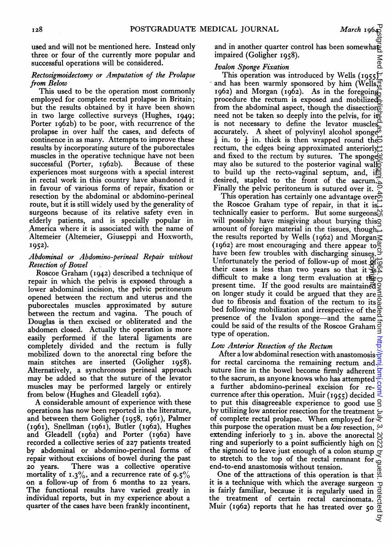used and will not be mentioned here. Instead only three or four of the currently more popular and successful operations will be considered.

#### Rectosigmoidectomy or Amputation of the Prolapse from Below

This used to be the operation most commonly employed for complete rectal prolapse in Britain; but the results obtained by it have been shown in two large collective surveys (Hughes, 1949; Porter 1962b) to be poor, with recurrence of the prolapse in over half the cases, and defects of continence in as many. Attempts to improve these results by incorporating suture of the puborectales muscles in the operative technique have not been successful (Porter, i962b). Because of these experiences most surgeons with a special interest in rectal work in this country have abandoned it in favour of various forms of repair, fixation or resection by the abdominal or abdomino-perineal route, but it is still widely used by the generality of surgeons because of its relative safety even in elderly patients, and is specially popular in America where it is associated with the name of Altemeier (Altemeier, Giuseppi and Hoxworth, 1952).

#### Abdominal or Abdomino-perineal Repair without Resection of Bowel

Roscoe Graham (1942) described a technique of repair in which the pelvis is exposed through a lower abdominal incision, the pelvic peritoneum opened between the rectum and uterus and the puborectales muscles approximated by suture between the rectum and vagina. The pouch of Douglas is then excised or obliterated and the abdomen closed. Actually the operation is more easily performed if the lateral ligaments are completely divided and the rectum is fully mobilized down to the anorectal ring before the main stitches are inserted (Goligher I958). Alternatively, a synchronous perineal approach may be added so that the suture of the levator muscles may be performed largely or entirely from below (Hughes and Gleadell I962).

A considerable amount of experience with these operations has now been reported in the literature, and between them Goligher (1958, I96I), Palmer (1961), Snellman (1961), Butler (1962), Hughes and Gleadell (I962) and Porter (I962) have recorded a collective series of 227 patients treated by abdominal or abdomino-perineal forms of repair without excisions of bowel during the past 20 years. There was a collective operative mortality of 1.3%, and a recurrence rate of 9.5% on a follow-up of from 6 months to 22 years. The functional results have varied greatly in individual reports, but in my experience about <sup>a</sup> quarter of the cases have been frankly incontinent,

and in another quarter control has been somewhat impaired (Goligher I958).

# Ivalon Sponge Fixation

This operation was introduced by Wells (1955). and has been warmly sponsored by him (Wells, 1962) and Morgan (1962). As in the foregoing procedure the rectum is exposed and mobilized from the abdominal aspect, though the dissection need not be taken so deeply into the pelvis, for its is not necessary to define the levator muscles $\frac{\alpha}{n}$ accurately. A sheet of polyvinyl alcohol sponge $\ddot{\phi}$  $\frac{1}{8}$  in. to  $\frac{1}{4}$  in. thick is then wrapped round the rectum, the edges being approximated anteriorly and fixed to the rectum by sutures. The spongegy may also be sutured to the posterior vaginal wall to build up the recto-vaginal septum, and, if desired, stapled to the front of the sacrum. Finally the pelvic peritoneum is sutured over it.

This operation has certainly one advantage over the Roscoe Graham type of repair, in that it is. technically easier to perform. But some surgeons $\mathcal{C}_{\Omega}$ will possibly have misgiving about burying thiso amount of foreign material in the tissues, though  $\leq$ the results reported by Wells (1962) and Morgan $\leq$ (1962) are most encouraging and there appear to  $\frac{\alpha}{2}$ have been few troubles with discharging sinuses.  $\frac{1}{2}$ Unfortunately the period of follow-up of most  $\frac{\partial f}{\partial x}$ their cases is less than two years so that it  $\mathbb{R}^{\infty}$ difficult to make a long term evaluation at the present time. If the good results are maintained  $\bar{Q}$ on longer study it could be argued that they are  $\leq$ due to fibrosis and fixation of the rectum to its  $\overline{S}$ bed following mobilization and irrespective of the  $\frac{\infty}{6}$ presence of the Ivalon sponge-and the same could be said of the results of the Roscoe Graham  $\frac{3}{5}$ type of operation. Postgrad Med Julinst.published.as, 10.1136/pgmj.40.461.125 on 1135 on 11004.125 on 1004.125 on 1019.40.125 by dubat. Protected by

## Low Anterior Resection of the Rectum

After a low abdominal resection with anastomosis  $\frac{1}{2}$ for rectal carcinoma the remaining rectum and  $\overline{3}$ suture line in the bowel become firmly adherent  $\frac{1}{2}$ to the sacrum, as anyone knows who has attempted a further abdomino-perineal excision for recurrence after this operation. Muir (1955) decided  $\frac{3}{5}$ to put this disagreeable experience to good use  $\frac{1}{2}$ by utilizing low anterior resection for the treatment of complete rectal prolapse. When employed for  $\bar{z}$ this purpose the operation must be a low resection,  $\omega$ extending inferiorly to 3 in. above the anorectal ring and superiorly to a point sufficiently high on the sigmoid to leave just enough of a colon stump  $\frac{1}{x}$ to stretch to the top of the rectal remnant for  $\alpha$ end-to-end anastomosis without tension. Unfortunately the period of follow-up of most  $\frac{60}{20}$  difficult to make a long term evaluation at the given difficult to make a long term evaluation at the present time. If the good results are maintained on longer st

 $a$ -to-end anastomosis without tension.<br>One of the attractions of this operation is that  $\frac{a}{2}$ it is a technique with which the average surgeon  $\overline{b}$ is fairly familiar, because it is regularly used in the treatment of certain rectal carcinomata.

ਤੁ